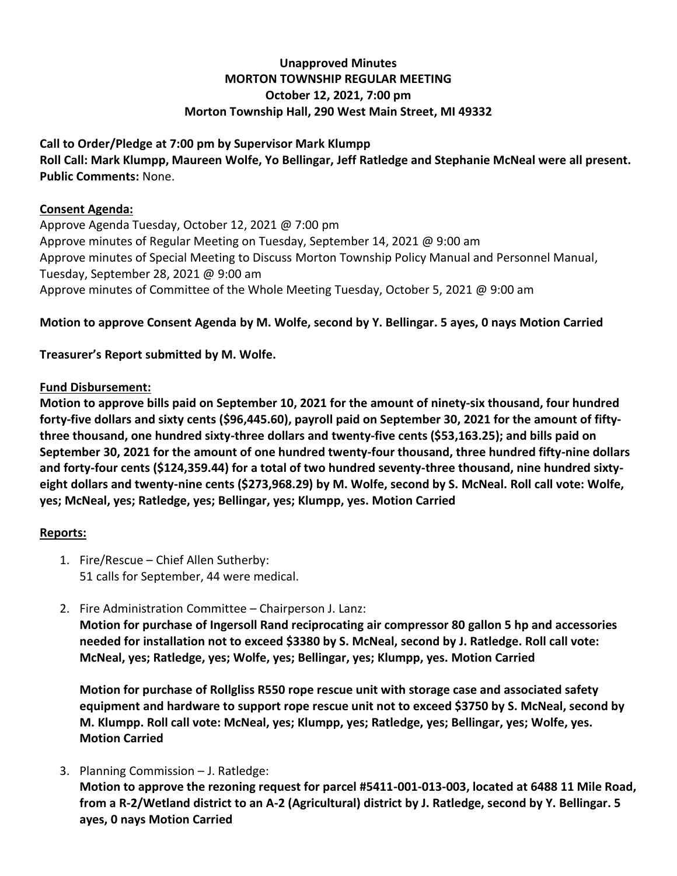# **Unapproved Minutes MORTON TOWNSHIP REGULAR MEETING October 12, 2021, 7:00 pm Morton Township Hall, 290 West Main Street, MI 49332**

#### **Call to Order/Pledge at 7:00 pm by Supervisor Mark Klumpp**

**Roll Call: Mark Klumpp, Maureen Wolfe, Yo Bellingar, Jeff Ratledge and Stephanie McNeal were all present. Public Comments:** None.

#### **Consent Agenda:**

Approve Agenda Tuesday, October 12, 2021 @ 7:00 pm Approve minutes of Regular Meeting on Tuesday, September 14, 2021 @ 9:00 am Approve minutes of Special Meeting to Discuss Morton Township Policy Manual and Personnel Manual, Tuesday, September 28, 2021 @ 9:00 am Approve minutes of Committee of the Whole Meeting Tuesday, October 5, 2021 @ 9:00 am

# **Motion to approve Consent Agenda by M. Wolfe, second by Y. Bellingar. 5 ayes, 0 nays Motion Carried**

# **Treasurer's Report submitted by M. Wolfe.**

### **Fund Disbursement:**

**Motion to approve bills paid on September 10, 2021 for the amount of ninety-six thousand, four hundred forty-five dollars and sixty cents (\$96,445.60), payroll paid on September 30, 2021 for the amount of fiftythree thousand, one hundred sixty-three dollars and twenty-five cents (\$53,163.25); and bills paid on September 30, 2021 for the amount of one hundred twenty-four thousand, three hundred fifty-nine dollars and forty-four cents (\$124,359.44) for a total of two hundred seventy-three thousand, nine hundred sixtyeight dollars and twenty-nine cents (\$273,968.29) by M. Wolfe, second by S. McNeal. Roll call vote: Wolfe, yes; McNeal, yes; Ratledge, yes; Bellingar, yes; Klumpp, yes. Motion Carried**

### **Reports:**

- 1. Fire/Rescue Chief Allen Sutherby: 51 calls for September, 44 were medical.
- 2. Fire Administration Committee Chairperson J. Lanz:

**Motion for purchase of Ingersoll Rand reciprocating air compressor 80 gallon 5 hp and accessories needed for installation not to exceed \$3380 by S. McNeal, second by J. Ratledge. Roll call vote: McNeal, yes; Ratledge, yes; Wolfe, yes; Bellingar, yes; Klumpp, yes. Motion Carried**

**Motion for purchase of Rollgliss R550 rope rescue unit with storage case and associated safety equipment and hardware to support rope rescue unit not to exceed \$3750 by S. McNeal, second by M. Klumpp. Roll call vote: McNeal, yes; Klumpp, yes; Ratledge, yes; Bellingar, yes; Wolfe, yes. Motion Carried**

3. Planning Commission – J. Ratledge:

**Motion to approve the rezoning request for parcel #5411-001-013-003, located at 6488 11 Mile Road, from a R-2/Wetland district to an A-2 (Agricultural) district by J. Ratledge, second by Y. Bellingar. 5 ayes, 0 nays Motion Carried**